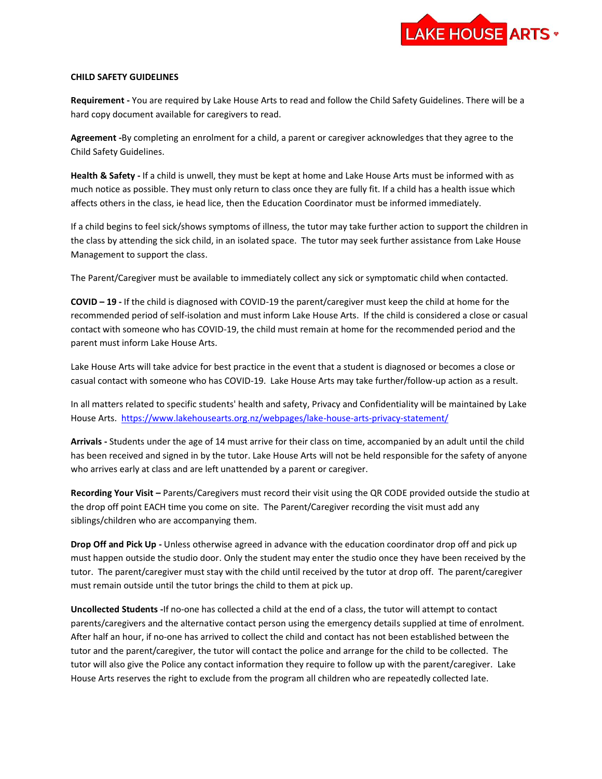

## **CHILD SAFETY GUIDELINES**

**Requirement -** You are required by Lake House Arts to read and follow the Child Safety Guidelines. There will be a hard copy document available for caregivers to read.

**Agreement -**By completing an enrolment for a child, a parent or caregiver acknowledges that they agree to the Child Safety Guidelines.

**Health & Safety -** If a child is unwell, they must be kept at home and Lake House Arts must be informed with as much notice as possible. They must only return to class once they are fully fit. If a child has a health issue which affects others in the class, ie head lice, then the Education Coordinator must be informed immediately.

If a child begins to feel sick/shows symptoms of illness, the tutor may take further action to support the children in the class by attending the sick child, in an isolated space. The tutor may seek further assistance from Lake House Management to support the class.

The Parent/Caregiver must be available to immediately collect any sick or symptomatic child when contacted.

**COVID – 19 -** If the child is diagnosed with COVID-19 the parent/caregiver must keep the child at home for the recommended period of self-isolation and must inform Lake House Arts. If the child is considered a close or casual contact with someone who has COVID-19, the child must remain at home for the recommended period and the parent must inform Lake House Arts.

Lake House Arts will take advice for best practice in the event that a student is diagnosed or becomes a close or casual contact with someone who has COVID-19. Lake House Arts may take further/follow-up action as a result.

In all matters related to specific students' health and safety, Privacy and Confidentiality will be maintained by Lake House Arts.<https://www.lakehousearts.org.nz/webpages/lake-house-arts-privacy-statement/>

**Arrivals -** Students under the age of 14 must arrive for their class on time, accompanied by an adult until the child has been received and signed in by the tutor. Lake House Arts will not be held responsible for the safety of anyone who arrives early at class and are left unattended by a parent or caregiver.

**Recording Your Visit –** Parents/Caregivers must record their visit using the QR CODE provided outside the studio at the drop off point EACH time you come on site. The Parent/Caregiver recording the visit must add any siblings/children who are accompanying them.

**Drop Off and Pick Up -** Unless otherwise agreed in advance with the education coordinator drop off and pick up must happen outside the studio door. Only the student may enter the studio once they have been received by the tutor. The parent/caregiver must stay with the child until received by the tutor at drop off. The parent/caregiver must remain outside until the tutor brings the child to them at pick up.

**Uncollected Students -**If no-one has collected a child at the end of a class, the tutor will attempt to contact parents/caregivers and the alternative contact person using the emergency details supplied at time of enrolment. After half an hour, if no-one has arrived to collect the child and contact has not been established between the tutor and the parent/caregiver, the tutor will contact the police and arrange for the child to be collected. The tutor will also give the Police any contact information they require to follow up with the parent/caregiver. Lake House Arts reserves the right to exclude from the program all children who are repeatedly collected late.